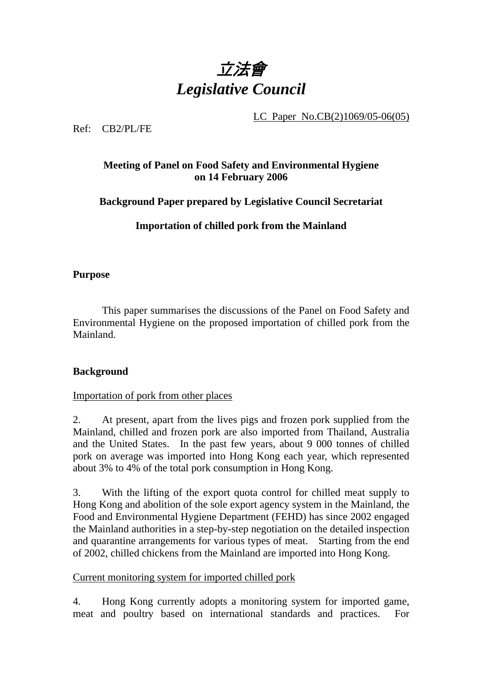

LC Paper No.CB(2)1069/05-06(05)

Ref: CB2/PL/FE

# **Meeting of Panel on Food Safety and Environmental Hygiene on 14 February 2006**

## **Background Paper prepared by Legislative Council Secretariat**

# **Importation of chilled pork from the Mainland**

#### **Purpose**

This paper summarises the discussions of the Panel on Food Safety and Environmental Hygiene on the proposed importation of chilled pork from the Mainland.

## **Background**

#### Importation of pork from other places

2. At present, apart from the lives pigs and frozen pork supplied from the Mainland, chilled and frozen pork are also imported from Thailand, Australia and the United States. In the past few years, about 9 000 tonnes of chilled pork on average was imported into Hong Kong each year, which represented about 3% to 4% of the total pork consumption in Hong Kong.

3. With the lifting of the export quota control for chilled meat supply to Hong Kong and abolition of the sole export agency system in the Mainland, the Food and Environmental Hygiene Department (FEHD) has since 2002 engaged the Mainland authorities in a step-by-step negotiation on the detailed inspection and quarantine arrangements for various types of meat. Starting from the end of 2002, chilled chickens from the Mainland are imported into Hong Kong.

#### Current monitoring system for imported chilled pork

4. Hong Kong currently adopts a monitoring system for imported game, meat and poultry based on international standards and practices. For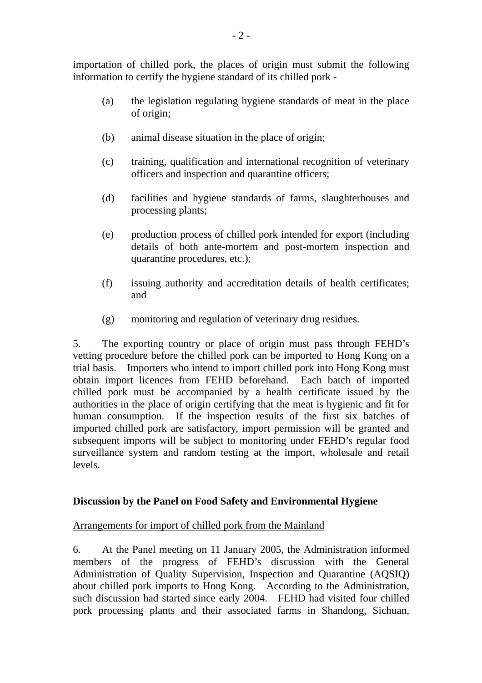importation of chilled pork, the places of origin must submit the following information to certify the hygiene standard of its chilled pork -

- (a) the legislation regulating hygiene standards of meat in the place of origin;
- (b) animal disease situation in the place of origin;
- (c) training, qualification and international recognition of veterinary officers and inspection and quarantine officers;
- (d) facilities and hygiene standards of farms, slaughterhouses and processing plants;
- (e) production process of chilled pork intended for export (including details of both ante-mortem and post-mortem inspection and quarantine procedures, etc.);
- (f) issuing authority and accreditation details of health certificates; and
- (g) monitoring and regulation of veterinary drug residues.

5. The exporting country or place of origin must pass through FEHD's vetting procedure before the chilled pork can be imported to Hong Kong on a trial basis. Importers who intend to import chilled pork into Hong Kong must obtain import licences from FEHD beforehand. Each batch of imported chilled pork must be accompanied by a health certificate issued by the authorities in the place of origin certifying that the meat is hygienic and fit for human consumption. If the inspection results of the first six batches of imported chilled pork are satisfactory, import permission will be granted and subsequent imports will be subject to monitoring under FEHD's regular food surveillance system and random testing at the import, wholesale and retail levels.

## **Discussion by the Panel on Food Safety and Environmental Hygiene**

## Arrangements for import of chilled pork from the Mainland

6. At the Panel meeting on 11 January 2005, the Administration informed members of the progress of FEHD's discussion with the General Administration of Quality Supervision, Inspection and Quarantine (AQSIQ) about chilled pork imports to Hong Kong. According to the Administration, such discussion had started since early 2004. FEHD had visited four chilled pork processing plants and their associated farms in Shandong, Sichuan,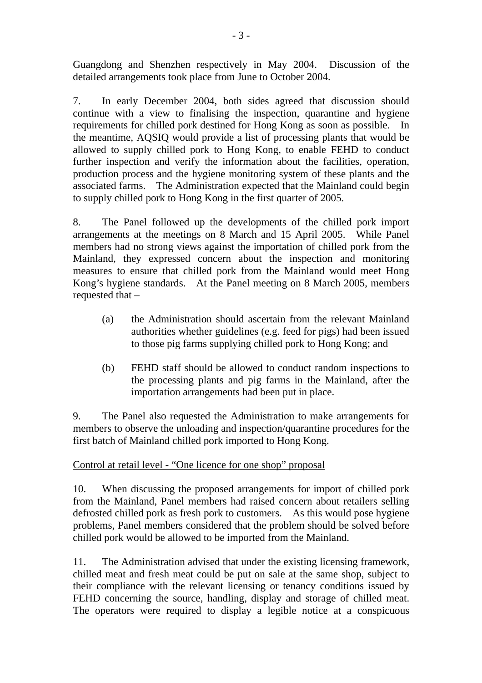Guangdong and Shenzhen respectively in May 2004. Discussion of the detailed arrangements took place from June to October 2004.

7. In early December 2004, both sides agreed that discussion should continue with a view to finalising the inspection, quarantine and hygiene requirements for chilled pork destined for Hong Kong as soon as possible. In the meantime, AQSIQ would provide a list of processing plants that would be allowed to supply chilled pork to Hong Kong, to enable FEHD to conduct further inspection and verify the information about the facilities, operation, production process and the hygiene monitoring system of these plants and the associated farms. The Administration expected that the Mainland could begin to supply chilled pork to Hong Kong in the first quarter of 2005.

8. The Panel followed up the developments of the chilled pork import arrangements at the meetings on 8 March and 15 April 2005. While Panel members had no strong views against the importation of chilled pork from the Mainland, they expressed concern about the inspection and monitoring measures to ensure that chilled pork from the Mainland would meet Hong Kong's hygiene standards. At the Panel meeting on 8 March 2005, members requested that –

- (a) the Administration should ascertain from the relevant Mainland authorities whether guidelines (e.g. feed for pigs) had been issued to those pig farms supplying chilled pork to Hong Kong; and
- (b) FEHD staff should be allowed to conduct random inspections to the processing plants and pig farms in the Mainland, after the importation arrangements had been put in place.

9. The Panel also requested the Administration to make arrangements for members to observe the unloading and inspection/quarantine procedures for the first batch of Mainland chilled pork imported to Hong Kong.

# Control at retail level - "One licence for one shop" proposal

10. When discussing the proposed arrangements for import of chilled pork from the Mainland, Panel members had raised concern about retailers selling defrosted chilled pork as fresh pork to customers. As this would pose hygiene problems, Panel members considered that the problem should be solved before chilled pork would be allowed to be imported from the Mainland.

11. The Administration advised that under the existing licensing framework, chilled meat and fresh meat could be put on sale at the same shop, subject to their compliance with the relevant licensing or tenancy conditions issued by FEHD concerning the source, handling, display and storage of chilled meat. The operators were required to display a legible notice at a conspicuous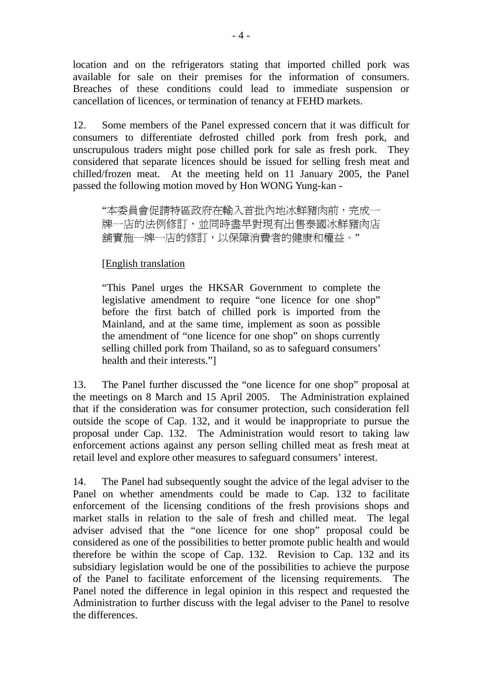location and on the refrigerators stating that imported chilled pork was available for sale on their premises for the information of consumers. Breaches of these conditions could lead to immediate suspension or cancellation of licences, or termination of tenancy at FEHD markets.

12. Some members of the Panel expressed concern that it was difficult for consumers to differentiate defrosted chilled pork from fresh pork, and unscrupulous traders might pose chilled pork for sale as fresh pork. They considered that separate licences should be issued for selling fresh meat and chilled/frozen meat. At the meeting held on 11 January 2005, the Panel passed the following motion moved by Hon WONG Yung-kan -

"本委員會促請特區政府在輸入首批內地冰鮮豬肉前,完成一 牌一店的法例修訂,並同時盡早對現有出售泰國冰鮮豬肉店 舖實施一牌一店的修訂,以保障消費者的健康和權益。"

## [English translation

"This Panel urges the HKSAR Government to complete the legislative amendment to require "one licence for one shop" before the first batch of chilled pork is imported from the Mainland, and at the same time, implement as soon as possible the amendment of "one licence for one shop" on shops currently selling chilled pork from Thailand, so as to safeguard consumers' health and their interests."]

13. The Panel further discussed the "one licence for one shop" proposal at the meetings on 8 March and 15 April 2005. The Administration explained that if the consideration was for consumer protection, such consideration fell outside the scope of Cap. 132, and it would be inappropriate to pursue the proposal under Cap. 132. The Administration would resort to taking law enforcement actions against any person selling chilled meat as fresh meat at retail level and explore other measures to safeguard consumers' interest.

14. The Panel had subsequently sought the advice of the legal adviser to the Panel on whether amendments could be made to Cap. 132 to facilitate enforcement of the licensing conditions of the fresh provisions shops and market stalls in relation to the sale of fresh and chilled meat. The legal adviser advised that the "one licence for one shop" proposal could be considered as one of the possibilities to better promote public health and would therefore be within the scope of Cap. 132. Revision to Cap. 132 and its subsidiary legislation would be one of the possibilities to achieve the purpose of the Panel to facilitate enforcement of the licensing requirements. The Panel noted the difference in legal opinion in this respect and requested the Administration to further discuss with the legal adviser to the Panel to resolve the differences.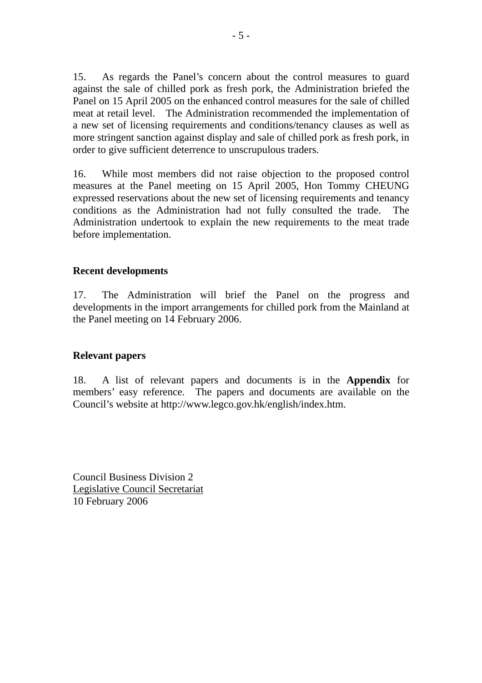15. As regards the Panel's concern about the control measures to guard against the sale of chilled pork as fresh pork, the Administration briefed the Panel on 15 April 2005 on the enhanced control measures for the sale of chilled meat at retail level. The Administration recommended the implementation of a new set of licensing requirements and conditions/tenancy clauses as well as more stringent sanction against display and sale of chilled pork as fresh pork, in order to give sufficient deterrence to unscrupulous traders.

16. While most members did not raise objection to the proposed control measures at the Panel meeting on 15 April 2005, Hon Tommy CHEUNG expressed reservations about the new set of licensing requirements and tenancy conditions as the Administration had not fully consulted the trade. The Administration undertook to explain the new requirements to the meat trade before implementation.

#### **Recent developments**

17. The Administration will brief the Panel on the progress and developments in the import arrangements for chilled pork from the Mainland at the Panel meeting on 14 February 2006.

#### **Relevant papers**

18. A list of relevant papers and documents is in the **Appendix** for members' easy reference. The papers and documents are available on the Council's website at http://www.legco.gov.hk/english/index.htm.

Council Business Division 2 Legislative Council Secretariat 10 February 2006